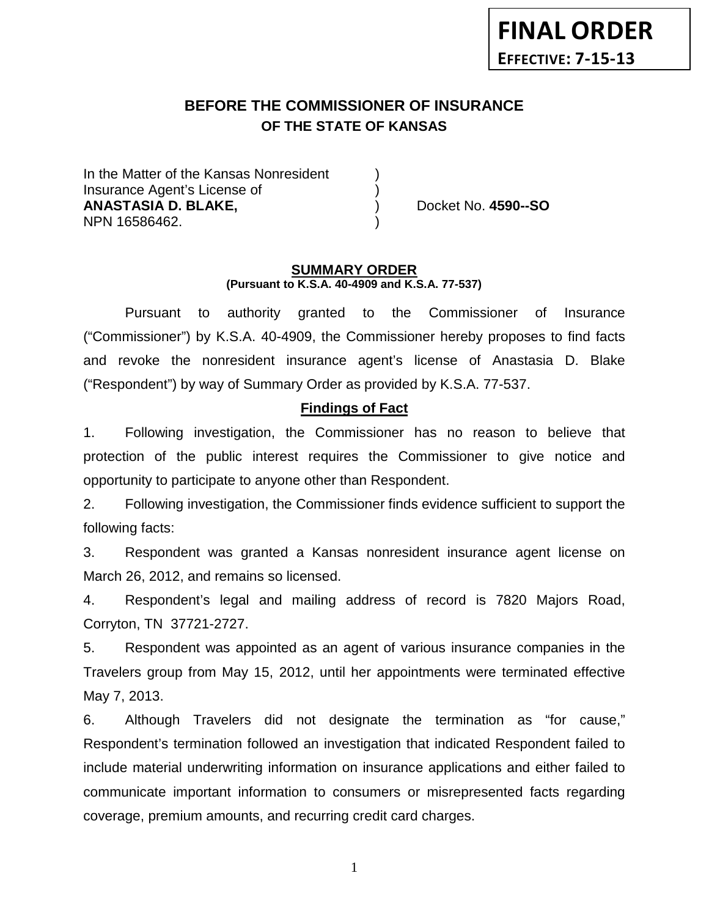# **BEFORE THE COMMISSIONER OF INSURANCE OF THE STATE OF KANSAS**

In the Matter of the Kansas Nonresident Insurance Agent's License of ) **ANASTASIA D. BLAKE,** ) Docket No. **4590--SO** NPN 16586462. )

#### **SUMMARY ORDER (Pursuant to K.S.A. 40-4909 and K.S.A. 77-537)**

Pursuant to authority granted to the Commissioner of Insurance ("Commissioner") by K.S.A. 40-4909, the Commissioner hereby proposes to find facts and revoke the nonresident insurance agent's license of Anastasia D. Blake ("Respondent") by way of Summary Order as provided by K.S.A. 77-537.

## **Findings of Fact**

1. Following investigation, the Commissioner has no reason to believe that protection of the public interest requires the Commissioner to give notice and opportunity to participate to anyone other than Respondent.

2. Following investigation, the Commissioner finds evidence sufficient to support the following facts:

3. Respondent was granted a Kansas nonresident insurance agent license on March 26, 2012, and remains so licensed.

4. Respondent's legal and mailing address of record is 7820 Majors Road, Corryton, TN 37721-2727.

5. Respondent was appointed as an agent of various insurance companies in the Travelers group from May 15, 2012, until her appointments were terminated effective May 7, 2013.

6. Although Travelers did not designate the termination as "for cause," Respondent's termination followed an investigation that indicated Respondent failed to include material underwriting information on insurance applications and either failed to communicate important information to consumers or misrepresented facts regarding coverage, premium amounts, and recurring credit card charges.

1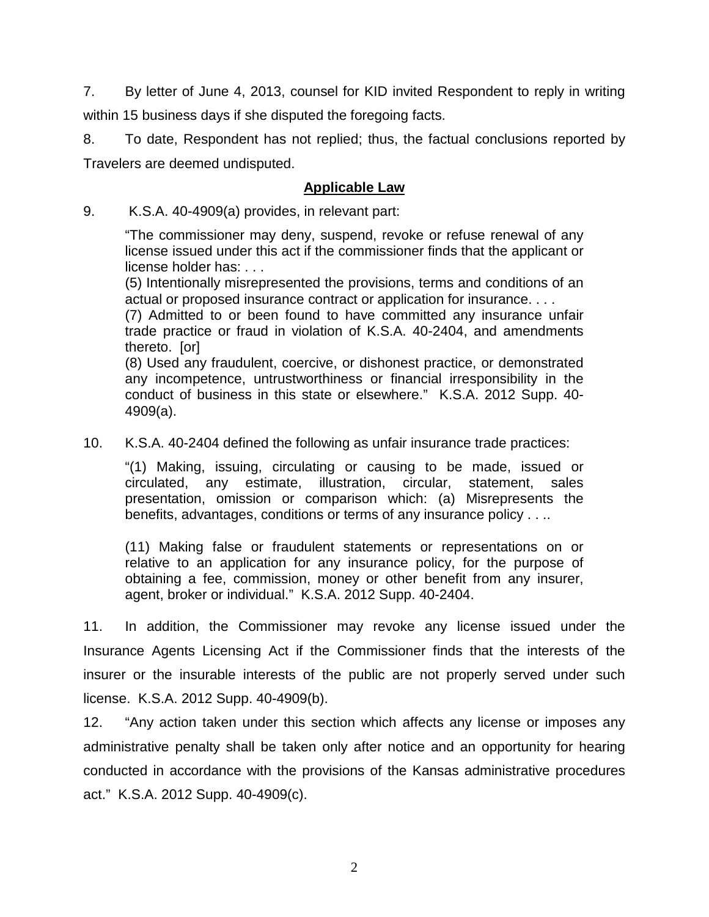7. By letter of June 4, 2013, counsel for KID invited Respondent to reply in writing within 15 business days if she disputed the foregoing facts.

8. To date, Respondent has not replied; thus, the factual conclusions reported by Travelers are deemed undisputed.

## **Applicable Law**

9. K.S.A. 40-4909(a) provides, in relevant part:

"The commissioner may deny, suspend, revoke or refuse renewal of any license issued under this act if the commissioner finds that the applicant or license holder has: . . .

(5) Intentionally misrepresented the provisions, terms and conditions of an actual or proposed insurance contract or application for insurance. . . .

(7) Admitted to or been found to have committed any insurance unfair trade practice or fraud in violation of K.S.A. 40-2404, and amendments thereto. [or]

(8) Used any fraudulent, coercive, or dishonest practice, or demonstrated any incompetence, untrustworthiness or financial irresponsibility in the conduct of business in this state or elsewhere." K.S.A. 2012 Supp. 40- 4909(a).

10. K.S.A. 40-2404 defined the following as unfair insurance trade practices:

"(1) Making, issuing, circulating or causing to be made, issued or circulated, any estimate, illustration, circular, statement, sales presentation, omission or comparison which: (a) Misrepresents the benefits, advantages, conditions or terms of any insurance policy . . ..

(11) Making false or fraudulent statements or representations on or relative to an application for any insurance policy, for the purpose of obtaining a fee, commission, money or other benefit from any insurer, agent, broker or individual." K.S.A. 2012 Supp. 40-2404.

11. In addition, the Commissioner may revoke any license issued under the Insurance Agents Licensing Act if the Commissioner finds that the interests of the insurer or the insurable interests of the public are not properly served under such license. K.S.A. 2012 Supp. 40-4909(b).

12. "Any action taken under this section which affects any license or imposes any administrative penalty shall be taken only after notice and an opportunity for hearing conducted in accordance with the provisions of the Kansas administrative procedures act." K.S.A. 2012 Supp. 40-4909(c).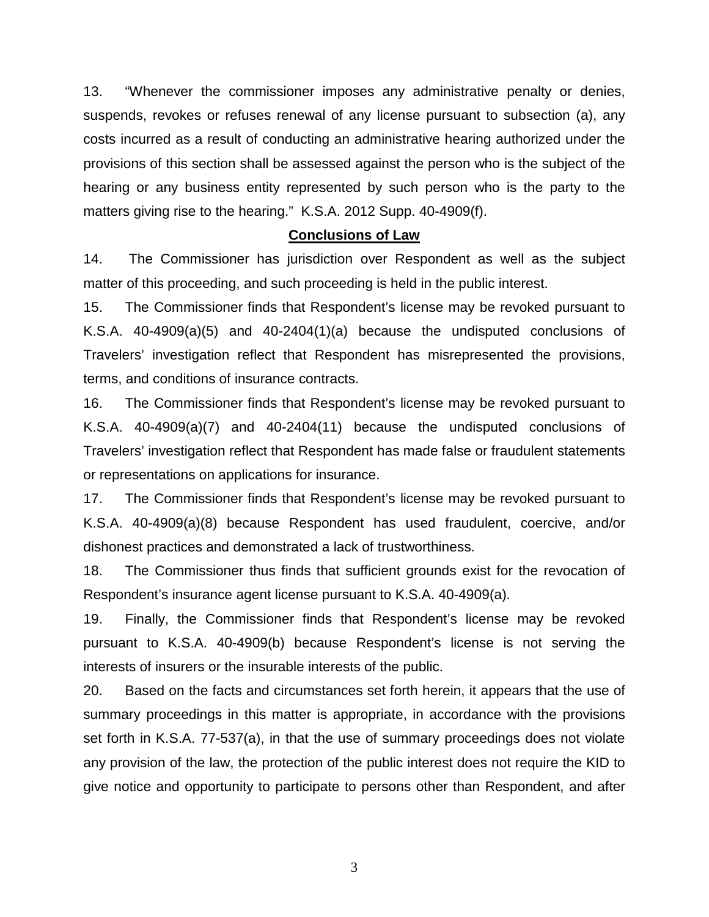13. "Whenever the commissioner imposes any administrative penalty or denies, suspends, revokes or refuses renewal of any license pursuant to subsection (a), any costs incurred as a result of conducting an administrative hearing authorized under the provisions of this section shall be assessed against the person who is the subject of the hearing or any business entity represented by such person who is the party to the matters giving rise to the hearing." K.S.A. 2012 Supp. 40-4909(f).

### **Conclusions of Law**

14. The Commissioner has jurisdiction over Respondent as well as the subject matter of this proceeding, and such proceeding is held in the public interest.

15. The Commissioner finds that Respondent's license may be revoked pursuant to K.S.A. 40-4909(a)(5) and 40-2404(1)(a) because the undisputed conclusions of Travelers' investigation reflect that Respondent has misrepresented the provisions, terms, and conditions of insurance contracts.

16. The Commissioner finds that Respondent's license may be revoked pursuant to K.S.A. 40-4909(a)(7) and 40-2404(11) because the undisputed conclusions of Travelers' investigation reflect that Respondent has made false or fraudulent statements or representations on applications for insurance.

17. The Commissioner finds that Respondent's license may be revoked pursuant to K.S.A. 40-4909(a)(8) because Respondent has used fraudulent, coercive, and/or dishonest practices and demonstrated a lack of trustworthiness.

18. The Commissioner thus finds that sufficient grounds exist for the revocation of Respondent's insurance agent license pursuant to K.S.A. 40-4909(a).

19. Finally, the Commissioner finds that Respondent's license may be revoked pursuant to K.S.A. 40-4909(b) because Respondent's license is not serving the interests of insurers or the insurable interests of the public.

20. Based on the facts and circumstances set forth herein, it appears that the use of summary proceedings in this matter is appropriate, in accordance with the provisions set forth in K.S.A. 77-537(a), in that the use of summary proceedings does not violate any provision of the law, the protection of the public interest does not require the KID to give notice and opportunity to participate to persons other than Respondent, and after

3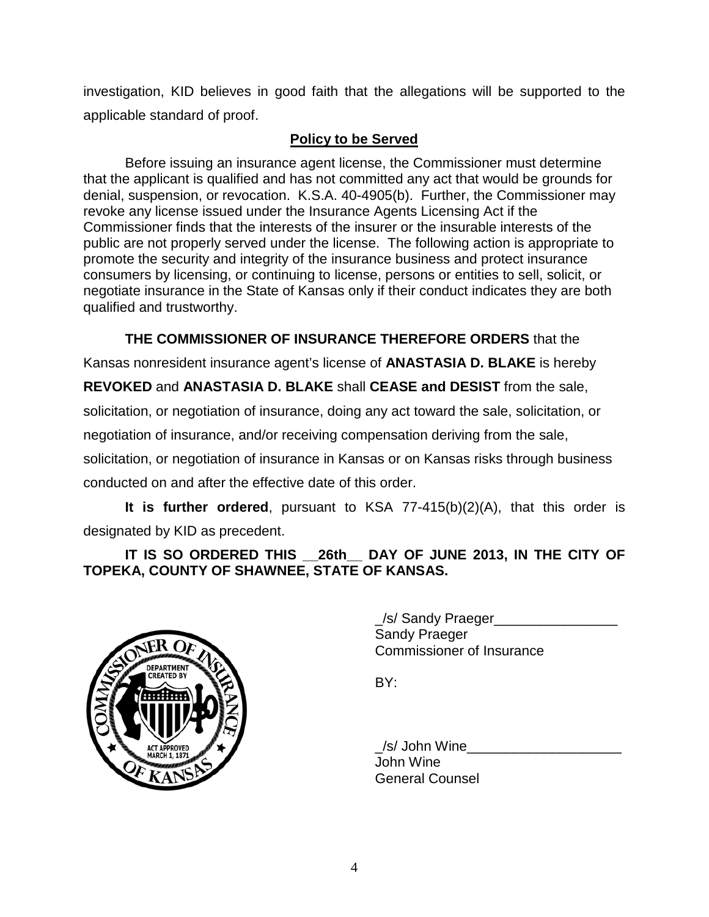investigation, KID believes in good faith that the allegations will be supported to the applicable standard of proof.

## **Policy to be Served**

Before issuing an insurance agent license, the Commissioner must determine that the applicant is qualified and has not committed any act that would be grounds for denial, suspension, or revocation. K.S.A. 40-4905(b). Further, the Commissioner may revoke any license issued under the Insurance Agents Licensing Act if the Commissioner finds that the interests of the insurer or the insurable interests of the public are not properly served under the license. The following action is appropriate to promote the security and integrity of the insurance business and protect insurance consumers by licensing, or continuing to license, persons or entities to sell, solicit, or negotiate insurance in the State of Kansas only if their conduct indicates they are both qualified and trustworthy.

**THE COMMISSIONER OF INSURANCE THEREFORE ORDERS** that the

Kansas nonresident insurance agent's license of **ANASTASIA D. BLAKE** is hereby

**REVOKED** and **ANASTASIA D. BLAKE** shall **CEASE and DESIST** from the sale,

solicitation, or negotiation of insurance, doing any act toward the sale, solicitation, or

negotiation of insurance, and/or receiving compensation deriving from the sale,

solicitation, or negotiation of insurance in Kansas or on Kansas risks through business

conducted on and after the effective date of this order.

**It is further ordered**, pursuant to KSA 77-415(b)(2)(A), that this order is designated by KID as precedent.

**IT IS SO ORDERED THIS \_\_26th\_\_ DAY OF JUNE 2013, IN THE CITY OF TOPEKA, COUNTY OF SHAWNEE, STATE OF KANSAS.**



/s/ Sandy Praeger Sandy Praeger Commissioner of Insurance

BY:

\_/s/ John Wine\_\_\_\_\_\_\_\_\_\_\_\_\_\_\_\_\_\_\_\_ John Wine General Counsel